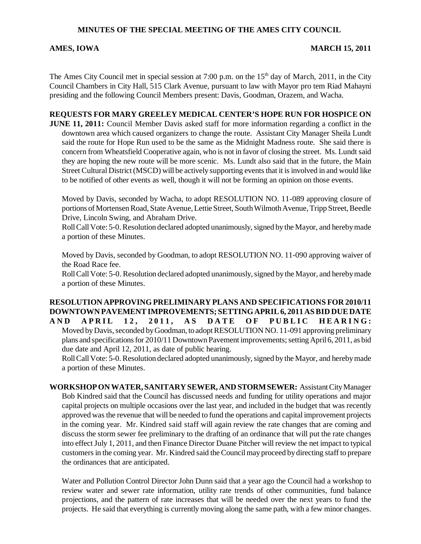# **MINUTES OF THE SPECIAL MEETING OF THE AMES CITY COUNCIL**

### AMES, IOWA 2011

The Ames City Council met in special session at 7:00 p.m. on the  $15<sup>th</sup>$  day of March, 2011, in the City Council Chambers in City Hall, 515 Clark Avenue, pursuant to law with Mayor pro tem Riad Mahayni presiding and the following Council Members present: Davis, Goodman, Orazem, and Wacha.

## **REQUESTS FOR MARY GREELEY MEDICAL CENTER'S HOPE RUN FOR HOSPICE ON**

**JUNE 11, 2011:** Council Member Davis asked staff for more information regarding a conflict in the downtown area which caused organizers to change the route. Assistant City Manager Sheila Lundt said the route for Hope Run used to be the same as the Midnight Madness route. She said there is concern from Wheatsfield Cooperative again, who is not in favor of closing the street. Ms. Lundt said they are hoping the new route will be more scenic. Ms. Lundt also said that in the future, the Main Street Cultural District (MSCD) will be actively supporting events that it is involved in and would like to be notified of other events as well, though it will not be forming an opinion on those events.

Moved by Davis, seconded by Wacha, to adopt RESOLUTION NO. 11-089 approving closure of portions of Mortensen Road, State Avenue, Lettie Street, South Wilmoth Avenue, Tripp Street, Beedle Drive, Lincoln Swing, and Abraham Drive.

Roll Call Vote: 5-0. Resolution declared adopted unanimously, signed by the Mayor, and hereby made a portion of these Minutes.

Moved by Davis, seconded by Goodman, to adopt RESOLUTION NO. 11-090 approving waiver of the Road Race fee.

Roll Call Vote: 5-0. Resolution declared adopted unanimously, signed by the Mayor, and hereby made a portion of these Minutes.

**RESOLUTION APPROVING PRELIMINARY PLANS AND SPECIFICATIONS FOR 2010/11 DOWNTOWN PAVEMENT IMPROVEMENTS; SETTING APRIL 6, 2011 AS BID DUE DATE** AND APRIL 12, 2011, AS DATE OF PUBLIC HEARING: Moved by Davis, seconded by Goodman, to adopt RESOLUTION NO. 11-091 approving preliminary plans and specifications for 2010/11 Downtown Pavement improvements; setting April 6, 2011, as bid due date and April 12, 2011, as date of public hearing.

Roll Call Vote: 5-0. Resolution declared adopted unanimously, signed by the Mayor, and hereby made a portion of these Minutes.

**WORKSHOP ON WATER, SANITARY SEWER, AND STORM SEWER:** Assistant City Manager Bob Kindred said that the Council has discussed needs and funding for utility operations and major capital projects on multiple occasions over the last year, and included in the budget that was recently approved was the revenue that will be needed to fund the operations and capital improvement projects in the coming year. Mr. Kindred said staff will again review the rate changes that are coming and discuss the storm sewer fee preliminary to the drafting of an ordinance that will put the rate changes into effect July 1, 2011, and then Finance Director Duane Pitcher will review the net impact to typical customers in the coming year. Mr. Kindred said the Council may proceed by directing staff to prepare the ordinances that are anticipated.

Water and Pollution Control Director John Dunn said that a year ago the Council had a workshop to review water and sewer rate information, utility rate trends of other communities, fund balance projections, and the pattern of rate increases that will be needed over the next years to fund the projects. He said that everything is currently moving along the same path, with a few minor changes.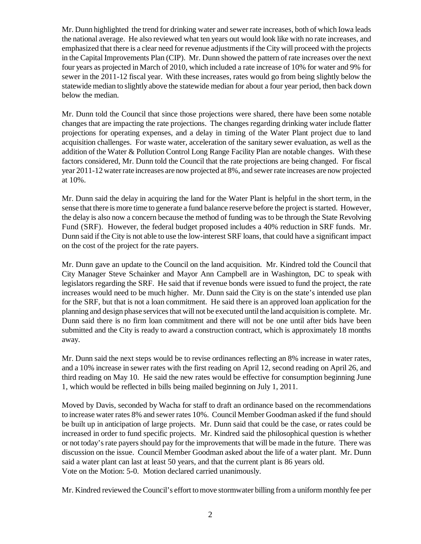Mr. Dunn highlighted the trend for drinking water and sewer rate increases, both of which Iowa leads the national average. He also reviewed what ten years out would look like with no rate increases, and emphasized that there is a clear need for revenue adjustments if the City will proceed with the projects in the Capital Improvements Plan (CIP). Mr. Dunn showed the pattern of rate increases over the next four years as projected in March of 2010, which included a rate increase of 10% for water and 9% for sewer in the 2011-12 fiscal year. With these increases, rates would go from being slightly below the statewide median to slightly above the statewide median for about a four year period, then back down below the median.

Mr. Dunn told the Council that since those projections were shared, there have been some notable changes that are impacting the rate projections. The changes regarding drinking water include flatter projections for operating expenses, and a delay in timing of the Water Plant project due to land acquisition challenges. For waste water, acceleration of the sanitary sewer evaluation, as well as the addition of the Water & Pollution Control Long Range Facility Plan are notable changes. With these factors considered, Mr. Dunn told the Council that the rate projections are being changed. For fiscal year 2011-12 water rate increases are now projected at 8%, and sewer rate increases are now projected at 10%.

Mr. Dunn said the delay in acquiring the land for the Water Plant is helpful in the short term, in the sense that there is more time to generate a fund balance reserve before the project is started. However, the delay is also now a concern because the method of funding was to be through the State Revolving Fund (SRF). However, the federal budget proposed includes a 40% reduction in SRF funds. Mr. Dunn said if the City is not able to use the low-interest SRF loans, that could have a significant impact on the cost of the project for the rate payers.

Mr. Dunn gave an update to the Council on the land acquisition. Mr. Kindred told the Council that City Manager Steve Schainker and Mayor Ann Campbell are in Washington, DC to speak with legislators regarding the SRF. He said that if revenue bonds were issued to fund the project, the rate increases would need to be much higher. Mr. Dunn said the City is on the state's intended use plan for the SRF, but that is not a loan commitment. He said there is an approved loan application for the planning and design phase services that will not be executed until the land acquisition is complete. Mr. Dunn said there is no firm loan commitment and there will not be one until after bids have been submitted and the City is ready to award a construction contract, which is approximately 18 months away.

Mr. Dunn said the next steps would be to revise ordinances reflecting an 8% increase in water rates, and a 10% increase in sewer rates with the first reading on April 12, second reading on April 26, and third reading on May 10. He said the new rates would be effective for consumption beginning June 1, which would be reflected in bills being mailed beginning on July 1, 2011.

Moved by Davis, seconded by Wacha for staff to draft an ordinance based on the recommendations to increase water rates 8% and sewer rates 10%. Council Member Goodman asked if the fund should be built up in anticipation of large projects. Mr. Dunn said that could be the case, or rates could be increased in order to fund specific projects. Mr. Kindred said the philosophical question is whether or not today's rate payers should pay for the improvements that will be made in the future. There was discussion on the issue. Council Member Goodman asked about the life of a water plant. Mr. Dunn said a water plant can last at least 50 years, and that the current plant is 86 years old. Vote on the Motion: 5-0. Motion declared carried unanimously.

Mr. Kindred reviewed the Council's effort to move stormwater billing from a uniform monthly fee per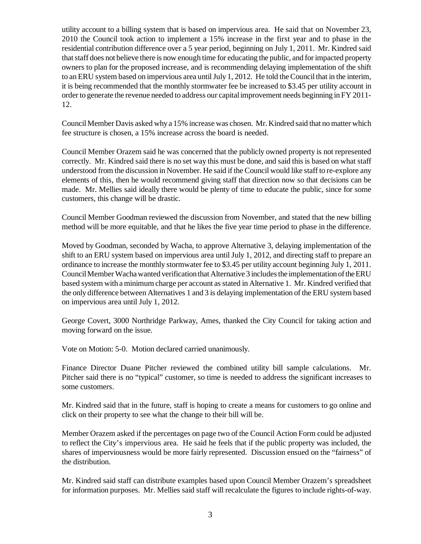utility account to a billing system that is based on impervious area. He said that on November 23, 2010 the Council took action to implement a 15% increase in the first year and to phase in the residential contribution difference over a 5 year period, beginning on July 1, 2011. Mr. Kindred said that staff does not believe there is now enough time for educating the public, and for impacted property owners to plan for the proposed increase, and is recommending delaying implementation of the shift to an ERU system based on impervious area until July 1, 2012. He told the Council that in the interim, it is being recommended that the monthly stormwater fee be increased to \$3.45 per utility account in order to generate the revenue needed to address our capital improvement needs beginning in FY 2011- 12.

Council Member Davis asked why a 15% increase was chosen. Mr. Kindred said that no matter which fee structure is chosen, a 15% increase across the board is needed.

Council Member Orazem said he was concerned that the publicly owned property is not represented correctly. Mr. Kindred said there is no set way this must be done, and said this is based on what staff understood from the discussion in November. He said if the Council would like staff to re-explore any elements of this, then he would recommend giving staff that direction now so that decisions can be made. Mr. Mellies said ideally there would be plenty of time to educate the public, since for some customers, this change will be drastic.

Council Member Goodman reviewed the discussion from November, and stated that the new billing method will be more equitable, and that he likes the five year time period to phase in the difference.

Moved by Goodman, seconded by Wacha, to approve Alternative 3, delaying implementation of the shift to an ERU system based on impervious area until July 1, 2012, and directing staff to prepare an ordinance to increase the monthly stormwater fee to \$3.45 per utility account beginning July 1, 2011. Council Member Wacha wanted verification that Alternative 3 includes the implementation of the ERU based system with a minimum charge per account as stated in Alternative 1. Mr. Kindred verified that the only difference between Alternatives 1 and 3 is delaying implementation of the ERU system based on impervious area until July 1, 2012.

George Covert, 3000 Northridge Parkway, Ames, thanked the City Council for taking action and moving forward on the issue.

Vote on Motion: 5-0. Motion declared carried unanimously.

Finance Director Duane Pitcher reviewed the combined utility bill sample calculations. Mr. Pitcher said there is no "typical" customer, so time is needed to address the significant increases to some customers.

Mr. Kindred said that in the future, staff is hoping to create a means for customers to go online and click on their property to see what the change to their bill will be.

Member Orazem asked if the percentages on page two of the Council Action Form could be adjusted to reflect the City's impervious area. He said he feels that if the public property was included, the shares of imperviousness would be more fairly represented. Discussion ensued on the "fairness" of the distribution.

Mr. Kindred said staff can distribute examples based upon Council Member Orazem's spreadsheet for information purposes. Mr. Mellies said staff will recalculate the figures to include rights-of-way.